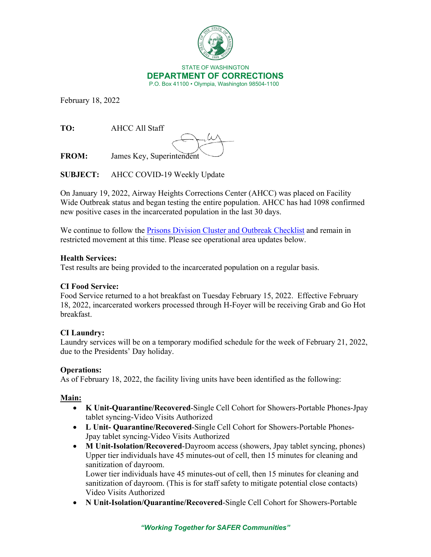

February 18, 2022

**TO:** AHCC All Staff

**FROM:** James Key, Superintendent

**SUBJECT:** AHCC COVID-19 Weekly Update

On January 19, 2022, Airway Heights Corrections Center (AHCC) was placed on Facility Wide Outbreak status and began testing the entire population. AHCC has had 1098 confirmed new positive cases in the incarcerated population in the last 30 days.

We continue to follow the [Prisons Division Cluster and Outbreak Checklist](https://doc.wa.gov/corrections/covid-19/docs/outbreak-checklist.pdf) and remain in restricted movement at this time. Please see operational area updates below.

### **Health Services:**

Test results are being provided to the incarcerated population on a regular basis.

# **CI Food Service:**

Food Service returned to a hot breakfast on Tuesday February 15, 2022. Effective February 18, 2022, incarcerated workers processed through H-Foyer will be receiving Grab and Go Hot breakfast.

# **CI Laundry:**

Laundry services will be on a temporary modified schedule for the week of February 21, 2022, due to the Presidents' Day holiday.

# **Operations:**

As of February 18, 2022, the facility living units have been identified as the following:

# **Main:**

- **K Unit-Quarantine/Recovered**-Single Cell Cohort for Showers-Portable Phones-Jpay tablet syncing-Video Visits Authorized
- **L Unit- Quarantine/Recovered**-Single Cell Cohort for Showers-Portable Phones-Jpay tablet syncing-Video Visits Authorized
- **M Unit-Isolation/Recovered**-Dayroom access (showers, Jpay tablet syncing, phones) Upper tier individuals have 45 minutes-out of cell, then 15 minutes for cleaning and sanitization of dayroom.

Lower tier individuals have 45 minutes-out of cell, then 15 minutes for cleaning and sanitization of dayroom. (This is for staff safety to mitigate potential close contacts) Video Visits Authorized

• **N Unit-Isolation/Quarantine/Recovered**-Single Cell Cohort for Showers-Portable